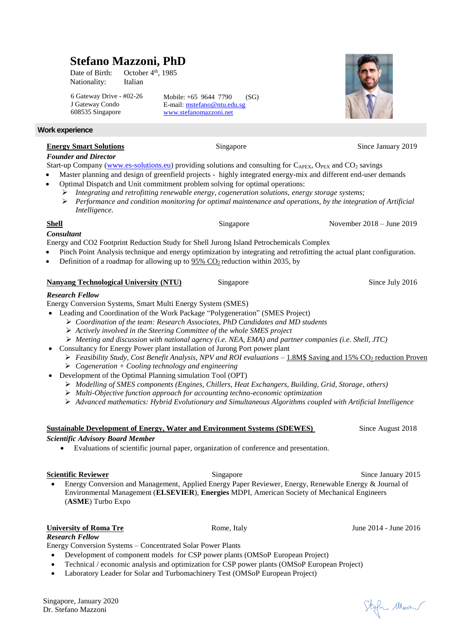# **Stefano Mazzoni, PhD**

Date of Birth: October 4<sup>th</sup>, 1985 Nationality: Italian

6 Gateway Drive - #02-26 J Gateway Condo 608535 Singapore

Mobile: +65 9644 7790 (SG) E-mail: [mstefa](mailto:stefano_485@hotmail.com)no@ntu.edu.sg [www.stefanomazzoni.net](http://www.stefanomazzoni.net/)

# **Work experience**

# **Energy Smart Solutions Singapore** Singapore Since January 2019

# *Founder and Director*

Start-up Company [\(www.es-solutions.eu\)](http://www.es-solutions.eu/) providing solutions and consulting for  $C_{APEX}$ ,  $O_{PEX}$  and  $CO_2$  savings

- Master planning and design of greenfield projects highly integrated energy-mix and different end-user demands
- Optimal Dispatch and Unit commitment problem solving for optimal operations:
	- *Integrating and retrofitting renewable energy, cogeneration solutions, energy storage systems; Performance and condition monitoring for optimal maintenance and operations, by the integration of Artificial Intelligence.*

# **Shell** Singapore November 2018 – June 2019

# *Consultant*

Energy and CO2 Footprint Reduction Study for Shell Jurong Island Petrochemicals Complex

- Pinch Point Analysis technique and energy optimization by integrating and retrofitting the actual plant configuration.
- Definition of a roadmap for allowing up to  $95\%$  CO<sub>2</sub> reduction within 2035, by

# **Nanyang Technological University (NTU)** Singapore Since Since July 2016

# *Research Fellow*

Energy Conversion Systems, Smart Multi Energy System (SMES)

- Leading and Coordination of the Work Package "Polygeneration" (SMES Project)
	- *Coordination of the team: Research Associates, PhD Candidates and MD students*
	- *Actively involved in the Steering Committee of the whole SMES project*
	- *Meeting and discussion with national agency (i.e. NEA, EMA) and partner companies (i.e. Shell, JTC)*
- Consultancy for Energy Power plant installation of Jurong Port power plant
	- *Feasibility Study, Cost Benefit Analysis, NPV and ROI evaluations* − 1.8M\$ Saving and 15% CO<sub>2</sub> reduction Proven
		- *Cogeneration + Cooling technology and engineering*
- Development of the Optimal Planning simulation Tool (OPT)
	- *Modelling of SMES components (Engines, Chillers, Heat Exchangers, Building, Grid, Storage, others)*
	- *Multi-Objective function approach for accounting techno-economic optimization*
	- *Advanced mathematics: Hybrid Evolutionary and Simultaneous Algorithms coupled with Artificial Intelligence*

# **Sustainable Development of Energy, Water and Environment Systems (SDEWES)** Since August 2018

# *Scientific Advisory Board Member*

Evaluations of scientific journal paper, organization of conference and presentation.

**Scientific Reviewer** Singapore Singapore Since January 2015 Energy Conversion and Management, Applied Energy Paper Reviewer, Energy, Renewable Energy & Journal of Environmental Management (**ELSEVIER**), **Energies** MDPI, American Society of Mechanical Engineers (**ASME**) Turbo Expo

# **University of Roma Tre** Rome, Italy Rome, Italy June 2014 - June 2016

*Research Fellow* Energy Conversion Systems – Concentrated Solar Power Plants

- Development of component models for CSP power plants (OMSoP European Project)
- Technical / economic analysis and optimization for CSP power plants (OMSoP European Project)
- Laboratory Leader for Solar and Turbomachinery Test (OMSoP European Project)

Stefan Mon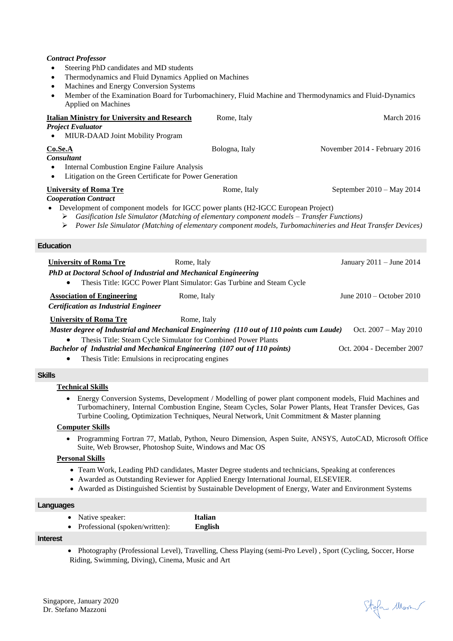# *Contract Professor*

- Steering PhD candidates and MD students
- Thermodynamics and Fluid Dynamics Applied on Machines
- Machines and Energy Conversion Systems
- Member of the Examination Board for Turbomachinery, Fluid Machine and Thermodynamics and Fluid-Dynamics Applied on Machines

| <b>Italian Ministry for University and Research</b><br><b>Project Evaluator</b><br>MIUR-DAAD Joint Mobility Program                                                                                                                                                                                                                                                                                                                          | Rome, Italy    | March 2016                    |
|----------------------------------------------------------------------------------------------------------------------------------------------------------------------------------------------------------------------------------------------------------------------------------------------------------------------------------------------------------------------------------------------------------------------------------------------|----------------|-------------------------------|
| Co. Se. A<br><b>Consultant</b><br><b>Internal Combustion Engine Failure Analysis</b><br>$\bullet$<br>Litigation on the Green Certificate for Power Generation<br>$\bullet$                                                                                                                                                                                                                                                                   | Bologna, Italy | November 2014 - February 2016 |
| <b>University of Roma Tre</b><br>Rome, Italy<br>September $2010 - May 2014$<br><b>Cooperation Contract</b><br>Development of component models for IGCC power plants (H2-IGCC European Project)<br>$\triangleright$ Gasification Isle Simulator (Matching of elementary component models – Transfer Functions)<br>$\triangleright$ Power Isle Simulator (Matching of elementary component models, Turbomachineries and Heat Transfer Devices) |                |                               |
| <b>Education</b>                                                                                                                                                                                                                                                                                                                                                                                                                             |                |                               |
| <b>University of Roma Tre</b><br>PhD at Doctoral School of Industrial and Mechanical Engineering<br>Thesis Title: IGCC Power Plant Simulator: Gas Turbine and Steam Cycle                                                                                                                                                                                                                                                                    | Rome, Italy    | January $2011 -$ June $2014$  |
| <b>Association of Engineering</b><br><b>Certification as Industrial Engineer</b>                                                                                                                                                                                                                                                                                                                                                             | Rome, Italy    | June $2010 -$ October $2010$  |
| <b>University of Roma Tre</b><br>Master degree of Industrial and Mechanical Engineering (110 out of 110 points cum Laude)<br>Thesis Title: Steam Cycle Simulator for Combined Power Plants                                                                                                                                                                                                                                                   | Rome, Italy    | Oct. $2007 - May 2010$        |
| Bachelor of Industrial and Mechanical Engineering (107 out of 110 points)<br>Thesis Title: Emulsions in reciprocating engines                                                                                                                                                                                                                                                                                                                |                | Oct. 2004 - December 2007     |

## **Skills**

# **Technical Skills**

 Energy Conversion Systems, Development / Modelling of power plant component models, Fluid Machines and Turbomachinery, Internal Combustion Engine, Steam Cycles, Solar Power Plants, Heat Transfer Devices, Gas Turbine Cooling, Optimization Techniques, Neural Network, Unit Commitment & Master planning

#### **Computer Skills**

 Programming Fortran 77, Matlab, Python, Neuro Dimension, Aspen Suite, ANSYS, AutoCAD, Microsoft Office Suite, Web Browser, Photoshop Suite, Windows and Mac OS

#### **Personal Skills**

- Team Work, Leading PhD candidates, Master Degree students and technicians, Speaking at conferences
- Awarded as Outstanding Reviewer for Applied Energy International Journal, ELSEVIER.
- Awarded as Distinguished Scientist by Sustainable Development of Energy, Water and Environment Systems

#### **Languages**

- Native speaker: **Italian**
- Professional (spoken/written): **English**

#### **Interest**

• Photography (Professional Level), Travelling, Chess Playing (semi-Pro Level), Sport (Cycling, Soccer, Horse Riding, Swimming, Diving), Cinema, Music and Art

Stefan Mora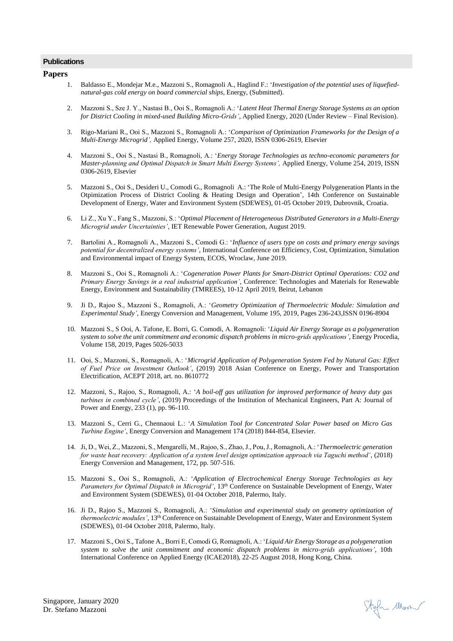#### **Publications**

#### **Papers**

- 1. Baldasso E., Mondejar M.e., Mazzoni S., Romagnoli A., Haglind F.: '*Investigation of the potential uses of liquefiednatural-gas cold energy on board commercial ships*, Energy, (Submitted).
- 2. Mazzoni S., Sze J. Y., Nastasi B., Ooi S., Romagnoli A.: '*Latent Heat Thermal Energy Storage Systems as an option for District Cooling in mixed-used Building Micro-Grids'*, Applied Energy, 2020 (Under Review – Final Revision).
- 3. Rigo-Mariani R., Ooi S., Mazzoni S., Romagnoli A.: '*Comparison of Optimization Frameworks for the Design of a Multi-Energy Microgrid',* Applied Energy, Volume 257, 2020, ISSN 0306-2619, Elsevier
- 4. Mazzoni S., Ooi S., Nastasi B., Romagnoli, A.: '*Energy Storage Technologies as techno-economic parameters for Master-planning and Optimal Dispatch in Smart Multi Energy Systems',* Applied Energy, Volume 254, 2019, ISSN 0306-2619, Elsevier
- 5. Mazzoni S., Ooi S., Desideri U., Comodi G., Romagnoli A.: 'The Role of Multi-Energy Polygeneration Plants in the Otpimization Process of District Cooling & Heating Design and Operation', 14th Conference on Sustainable Development of Energy, Water and Environment System (SDEWES), 01-05 October 2019, Dubrovnik, Croatia.
- 6. Li Z., Xu Y., Fang S., Mazzoni, S.: '*Optimal Placement of Heterogeneous Distributed Generators in a Multi-Energy Microgrid under Uncertainties'*, IET Renewable Power Generation, August 2019.
- 7. Bartolini A., Romagnoli A., Mazzoni S., Comodi G.: '*Influence of users type on costs and primary energy savings potential for decentralized energy systems'*, International Conference on Efficiency, Cost, Optimization, Simulation and Environmental impact of Energy System, ECOS, Wroclaw, June 2019.
- 8. Mazzoni S., Ooi S., Romagnoli A.: '*Cogeneration Power Plants for Smart-District Optimal Operations: CO2 and Primary Energy Savings in a real industrial application'*, Conference: Technologies and Materials for Renewable Energy, Environment and Sustainability (TMREES), 10-12 April 2019, Beirut, Lebanon
- 9. Ji D., Rajoo S., Mazzoni S., Romagnoli, A.: '*Geometry Optimization of Thermoelectric Module: Simulation and Experimental Study'*, Energy Conversion and Management, Volume 195, 2019, Pages 236-243,ISSN 0196-8904
- 10. Mazzoni S., S Ooi, A. Tafone, E. Borri, G. Comodi, A. Romagnoli: '*Liquid Air Energy Storage as a polygeneration system to solve the unit commitment and economic dispatch problems in micro-grids applications'*, Energy Procedia, Volume 158, 2019, Pages 5026-5033
- 11. Ooi, S., Mazzoni, S., Romagnoli, A.: '*Microgrid Application of Polygeneration System Fed by Natural Gas: Effect of Fuel Price on Investment Outlook'*, (2019) 2018 Asian Conference on Energy, Power and Transportation Electrification, ACEPT 2018, art. no. 8610772
- 12. Mazzoni, S., Rajoo, S., Romagnoli, A.: '*A boil-off gas utilization for improved performance of heavy duty gas turbines in combined cycle'*, (2019) Proceedings of the Institution of Mechanical Engineers, Part A: Journal of Power and Energy, 233 (1), pp. 96-110.
- 13. Mazzoni S., Cerri G., Chennaoui L.: '*A Simulation Tool for Concentrated Solar Power based on Micro Gas Turbine Engine'*, Energy Conversion and Management 174 (2018) 844-854, Elsevier.
- 14. Ji, D., Wei, Z., Mazzoni, S., Mengarelli, M., Rajoo, S., Zhao, J., Pou, J., Romagnoli, A.: '*Thermoelectric generation for waste heat recovery: Application of a system level design optimization approach via Taguchi method'*, (2018) Energy Conversion and Management, 172, pp. 507-516.
- 15. Mazzoni S., Ooi S., Romagnoli, A.: '*Application of Electrochemical Energy Storage Technologies as key*  Parameters for Optimal Dispatch in Microgrid', 13<sup>th</sup> Conference on Sustainable Development of Energy, Water and Environment System (SDEWES), 01-04 October 2018, Palermo, Italy.
- 16. Ji D., Rajoo S., Mazzoni S., Romagnoli, A.: '*Simulation and experimental study on geometry optimization of thermoelectric modules'*, 13th Conference on Sustainable Development of Energy, Water and Environment System (SDEWES), 01-04 October 2018, Palermo, Italy.
- 17. Mazzoni S., Ooi S., Tafone A., Borri E, Comodi G, Romagnoli, A.: '*Liquid Air Energy Storage as a polygeneration system to solve the unit commitment and economic dispatch problems in micro-grids applications'*, 10th International Conference on Applied Energy (ICAE2018), 22-25 August 2018, Hong Kong, China.

Stefan Mon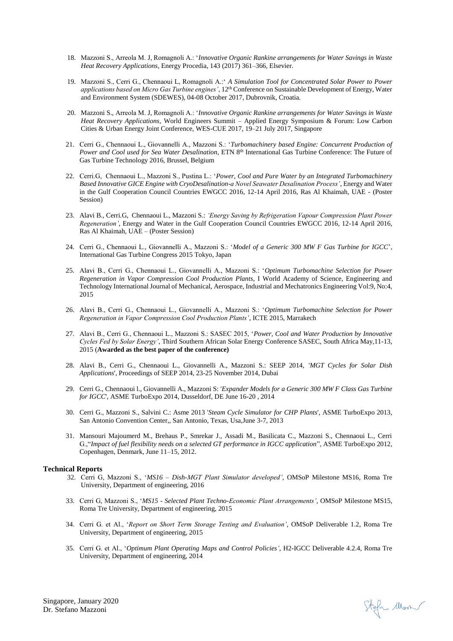- 18. Mazzoni S., Arreola M. J, Romagnoli A.: '*Innovative Organic Rankine arrangements for Water Savings in Waste Heat Recovery Applications,* Energy Procedia, 143 (2017) 361–366, Elsevier.
- 19. Mazzoni S., Cerri G., Chennaoui L, Romagnoli A.:' *A Simulation Tool for Concentrated Solar Power to Power applications based on Micro Gas Turbine engines',* 12th Conference on Sustainable Development of Energy, Water and Environment System (SDEWES), 04-08 October 2017, Dubrovnik, Croatia.
- 20. Mazzoni S., Arreola M. J, Romagnoli A.: '*Innovative Organic Rankine arrangements for Water Savings in Waste Heat Recovery Applications,* World Engineers Summit – Applied Energy Symposium & Forum: Low Carbon Cities & Urban Energy Joint Conference, WES-CUE 2017, 19–21 July 2017, Singapore
- 21. Cerri G., Chennaoui L., Giovannelli A., Mazzoni S.: '*Turbomachinery based Engine: Concurrent Production of Power and Cool used for Sea Water Desalination*, ETN 8th International Gas Turbine Conference: The Future of Gas Turbine Technology 2016, Brussel, Belgium
- 22. Cerri.G, Chennaoui L., Mazzoni S., Pustina L.: '*Power, Cool and Pure Water by an Integrated Turbomachinery Based Innovative GICE Engine with CryoDesalination-a Novel Seawater Desalination Process'*, Energy and Water in the Gulf Cooperation Council Countries EWGCC 2016, 12-14 April 2016, Ras Al Khaimah, UAE - (Poster Session)
- 23. Alavi B., Cerri.G, Chennaoui L., Mazzoni S.: *'Energy Saving by Refrigeration Vapour Compression Plant Power Regeneration'*, Energy and Water in the Gulf Cooperation Council Countries EWGCC 2016, 12-14 April 2016, Ras Al Khaimah, UAE – (Poster Session)
- 24. Cerri G., Chennaoui L., Giovannelli A., Mazzoni S.: '*Model of a Generic 300 MW F Gas Turbine for IGCC*', International Gas Turbine Congress 2015 Tokyo, Japan
- 25. Alavi B., Cerri G., Chennaoui L., Giovannelli A., Mazzoni S.: '*Optimum Turbomachine Selection for Power Regeneration in Vapor Compression Cool Production Plants*, I World Academy of Science, Engineering and Technology International Journal of Mechanical, Aerospace, Industrial and Mechatronics Engineering Vol:9, No:4, 2015
- 26. Alavi B., Cerri G., Chennaoui L., Giovannelli A., Mazzoni S.: '*Optimum Turbomachine Selection for Power Regeneration in Vapor Compression Cool Production Plants'*, ICTE 2015, Marrakech
- 27. Alavi B., Cerri G., Chennaoui L., Mazzoni S.: SASEC 2015, '*Power, Cool and Water Production by Innovative Cycles Fed by Solar Energy'*, Third Southern African Solar Energy Conference SASEC, South Africa May,11-13, 2015 (**Awarded as the best paper of the conference)**
- 28. Alavi B., Cerri G., Chennaoui L., Giovannelli A., Mazzoni S.: SEEP 2014, *'MGT Cycles for Solar Dish Applications*', Proceedings of SEEP 2014, 23-25 November 2014, Dubai
- 29. Cerri G., Chennaoui l., Giovannelli A., Mazzoni S: '*Expander Models for a Generic 300 MW F Class Gas Turbine for IGCC*', ASME TurboExpo 2014, Dusseldorf, DE June 16-20 , 2014
- 30. Cerri G., Mazzoni S., Salvini C.: Asme 2013 '*Steam Cycle Simulator for CHP Plants*', ASME TurboExpo 2013, San Antonio Convention Center,, San Antonio, Texas, Usa,June 3-7, 2013
- 31. Mansouri Majoumerd M., Brehaus P., Smrekar J., Assadi M., Basilicata C., Mazzoni S., Chennaoui L., Cerri G.,"*Impact of fuel flexibility needs on a selected GT performance in IGCC application*", ASME TurboExpo 2012, Copenhagen, Denmark, June 11–15, 2012.

#### **Technical Reports**

- 32. Cerri G, Mazzoni S., '*MS16 – Dish-MGT Plant Simulator developed'*, OMSoP Milestone MS16, Roma Tre University, Department of engineering, 2016
- 33. Cerri G, Mazzoni S., '*MS15 - Selected Plant Techno-Economic Plant Arrangements'*, OMSoP Milestone MS15, Roma Tre University, Department of engineering, 2015
- 34. Cerri G. et Al., '*Report on Short Term Storage Testing and Evaluation'*, OMSoP Deliverable 1.2, Roma Tre University, Department of engineering, 2015
- 35. Cerri G. et Al., '*Optimum Plant Operating Maps and Control Policies'*, H2-IGCC Deliverable 4.2.4, Roma Tre University, Department of engineering, 2014

Singapore, January 2020 Dr. Stefano Mazzoni

Stefan Mon